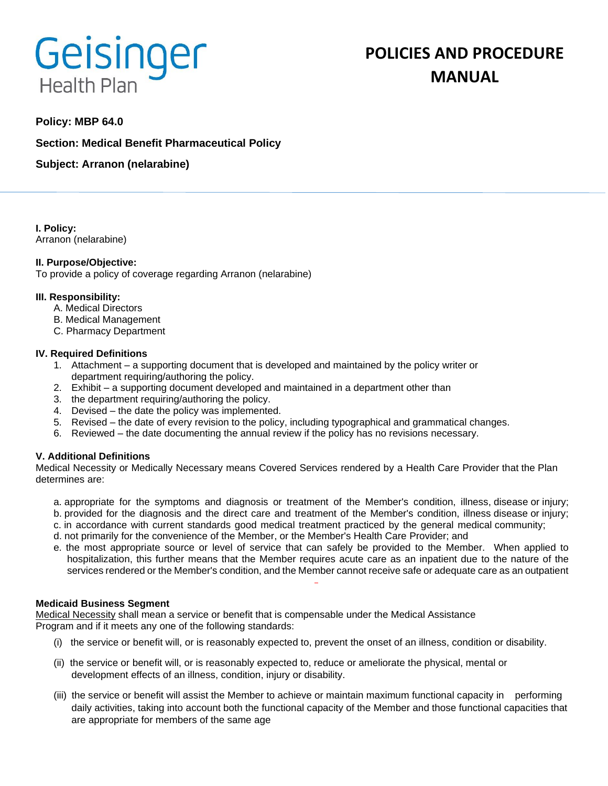# **Geisinger Health Plan**

# **POLICIES AND PROCEDURE MANUAL**

## **Policy: MBP 64.0**

**Section: Medical Benefit Pharmaceutical Policy**

**Subject: Arranon (nelarabine)**

**I. Policy:** Arranon (nelarabine)

#### **II. Purpose/Objective:**

To provide a policy of coverage regarding Arranon (nelarabine)

#### **III. Responsibility:**

- A. Medical Directors
- B. Medical Management
- C. Pharmacy Department

#### **IV. Required Definitions**

- 1. Attachment a supporting document that is developed and maintained by the policy writer or department requiring/authoring the policy.
- 2. Exhibit a supporting document developed and maintained in a department other than
- 3. the department requiring/authoring the policy.
- 4. Devised the date the policy was implemented.
- 5. Revised the date of every revision to the policy, including typographical and grammatical changes.
- 6. Reviewed the date documenting the annual review if the policy has no revisions necessary.

### **V. Additional Definitions**

Medical Necessity or Medically Necessary means Covered Services rendered by a Health Care Provider that the Plan determines are:

- a. appropriate for the symptoms and diagnosis or treatment of the Member's condition, illness, disease or injury; b. provided for the diagnosis and the direct care and treatment of the Member's condition, illness disease or injury;
- c. in accordance with current standards good medical treatment practiced by the general medical community;
- d. not primarily for the convenience of the Member, or the Member's Health Care Provider; and
- e. the most appropriate source or level of service that can safely be provided to the Member. When applied to hospitalization, this further means that the Member requires acute care as an inpatient due to the nature of the services rendered or the Member's condition, and the Member cannot receive safe or adequate care as an outpatient

#### **Medicaid Business Segment**

Medical Necessity shall mean a service or benefit that is compensable under the Medical Assistance Program and if it meets any one of the following standards:

- (i) the service or benefit will, or is reasonably expected to, prevent the onset of an illness, condition or disability.
- (ii) the service or benefit will, or is reasonably expected to, reduce or ameliorate the physical, mental or development effects of an illness, condition, injury or disability.
- (iii) the service or benefit will assist the Member to achieve or maintain maximum functional capacity in performing daily activities, taking into account both the functional capacity of the Member and those functional capacities that are appropriate for members of the same age